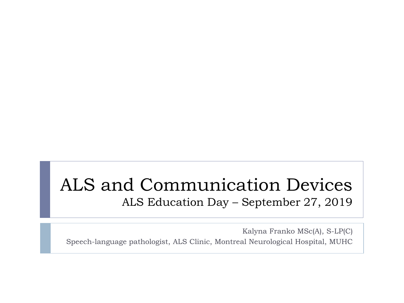#### ALS and Communication Devices ALS Education Day – September 27, 2019

Kalyna Franko MSc(A), S-LP(C) Speech-language pathologist, ALS Clinic, Montreal Neurological Hospital, MUHC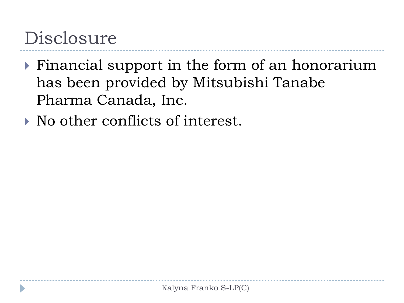### Disclosure

- Financial support in the form of an honorarium has been provided by Mitsubishi Tanabe Pharma Canada, Inc.
- No other conflicts of interest.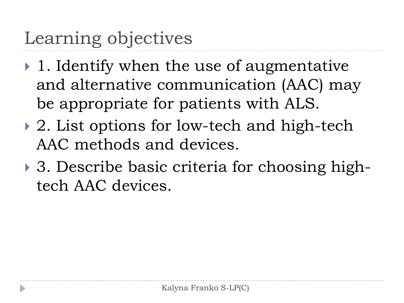# Learning objectives

- ▶ 1. Identify when the use of augmentative and alternative communication (AAC) may be appropriate for patients with ALS.
- ▶ 2. List options for low-tech and high-tech AAC methods and devices.
- **→ 3. Describe basic criteria for choosing high**tech AAC devices.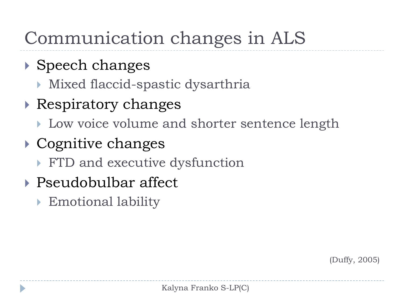## Communication changes in ALS

- **▶ Speech changes** 
	- Mixed flaccid-spastic dysarthria
- **▶ Respiratory changes** 
	- Dow voice volume and shorter sentence length
- **▶ Cognitive changes** 
	- **FTD and executive dysfunction**
- Pseudobulbar affect
	- Emotional lability

(Duffy, 2005)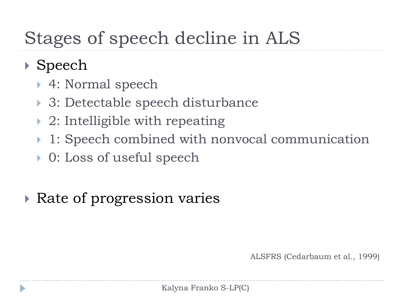# Stages of speech decline in ALS

▶ Speech

- ▶ 4: Normal speech
- 3: Detectable speech disturbance
- 2: Intelligible with repeating
- ▶ 1: Speech combined with nonvocal communication
- 0: Loss of useful speech

### **▶ Rate of progression varies**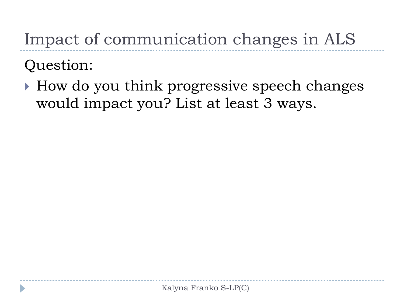Impact of communication changes in ALS

Question:

▶ How do you think progressive speech changes would impact you? List at least 3 ways.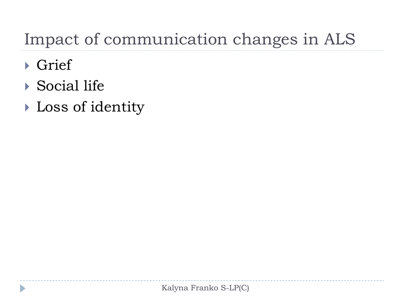### Impact of communication changes in ALS

- Grief
- Social life
- Loss of identity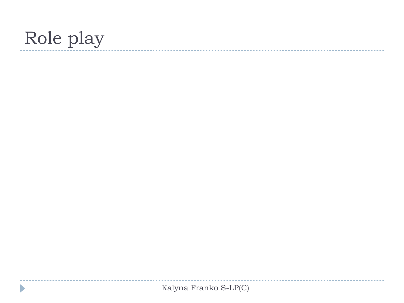## Role play

 $\blacktriangleright$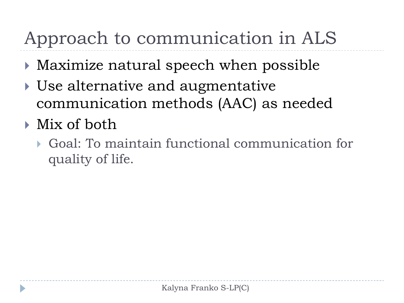# Approach to communication in ALS

- Maximize natural speech when possible
- Use alternative and augmentative communication methods (AAC) as needed
- Mix of both
	- Goal: To maintain functional communication for quality of life.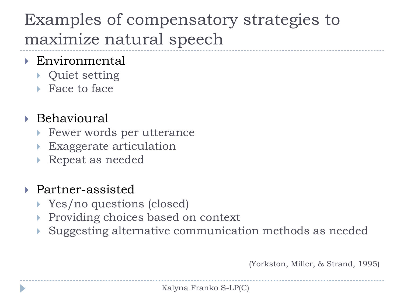### Examples of compensatory strategies to maximize natural speech

#### Environmental

- Quiet setting
- ▶ Face to face

#### $\triangleright$  Behavioural

- Fewer words per utterance
- Exaggerate articulation
- Repeat as needed

#### Partner-assisted

- Yes/no questions (closed)
- Providing choices based on context
- Suggesting alternative communication methods as needed

(Yorkston, Miller, & Strand, 1995)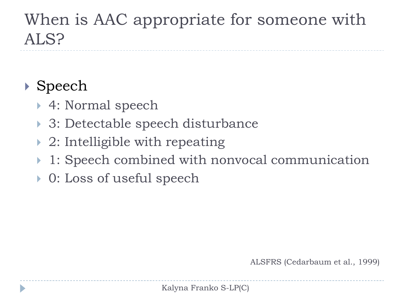### When is AAC appropriate for someone with ALS?

### ▶ Speech

- 4: Normal speech
- 3: Detectable speech disturbance
- 2: Intelligible with repeating
- 1: Speech combined with nonvocal communication
- ▶ 0: Loss of useful speech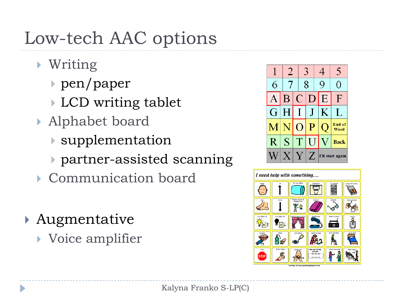# Low-tech AAC options

- Writing
	- pen/paper
	- LCD writing tablet
- Alphabet board
	- supplementation
	- partner-assisted scanning
- ▶ Communication board
- Augmentative
	- Voice amplifier



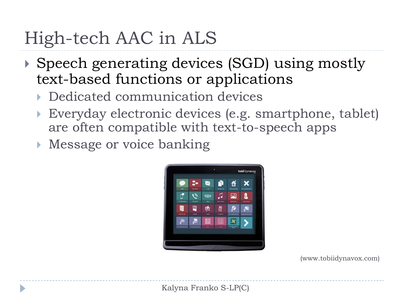# High-tech AAC in ALS

- ▶ Speech generating devices (SGD) using mostly text-based functions or applications
	- Dedicated communication devices
	- Everyday electronic devices (e.g. smartphone, tablet) are often compatible with text-to-speech apps
	- **Message or voice banking**



(www.tobiidynavox.com)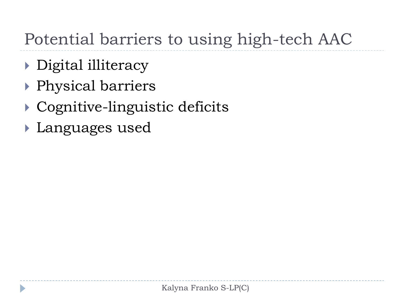### Potential barriers to using high-tech AAC

- ▶ Digital illiteracy
- Physical barriers
- ▶ Cognitive-linguistic deficits
- Languages used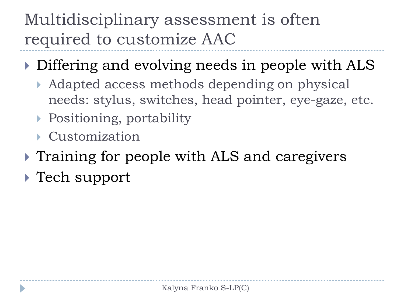### Multidisciplinary assessment is often required to customize AAC

- Differing and evolving needs in people with ALS
	- Adapted access methods depending on physical needs: stylus, switches, head pointer, eye-gaze, etc.
	- ▶ Positioning, portability
	- Customization
- ▶ Training for people with ALS and caregivers
- Tech support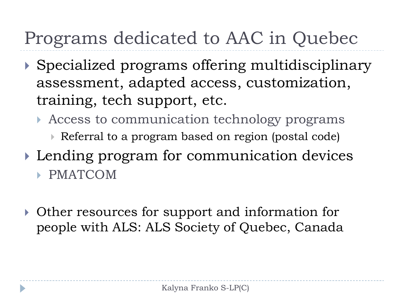# Programs dedicated to AAC in Quebec

- Specialized programs offering multidisciplinary assessment, adapted access, customization, training, tech support, etc.
	- Access to communication technology programs
		- Referral to a program based on region (postal code)
- ▶ Lending program for communication devices PMATCOM
- Other resources for support and information for people with ALS: ALS Society of Quebec, Canada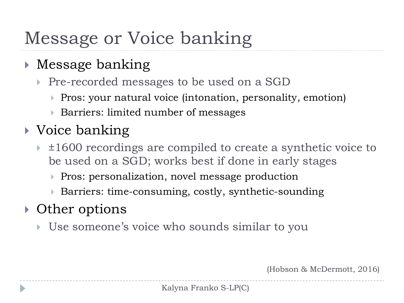## Message or Voice banking

#### Message banking

- Pre-recorded messages to be used on a SGD
	- ▶ Pros: your natural voice (intonation, personality, emotion)
	- Barriers: limited number of messages

#### ▶ Voice banking

- ▶ ±1600 recordings are compiled to create a synthetic voice to be used on a SGD; works best if done in early stages
	- ▶ Pros: personalization, novel message production
	- Barriers: time-consuming, costly, synthetic-sounding

#### Other options

Use someone's voice who sounds similar to you

(Hobson & McDermott, 2016)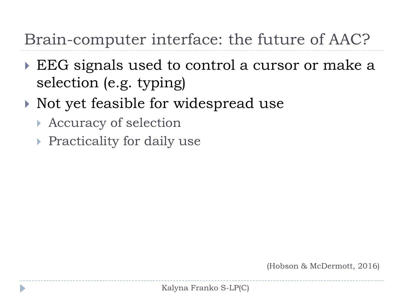### Brain-computer interface: the future of AAC?

- EEG signals used to control a cursor or make a selection (e.g. typing)
- $\triangleright$  Not yet feasible for widespread use
	- Accuracy of selection
	- Practicality for daily use

(Hobson & McDermott, 2016)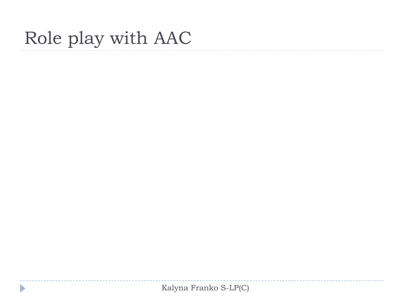## Role play with AAC

 $\blacktriangleright$